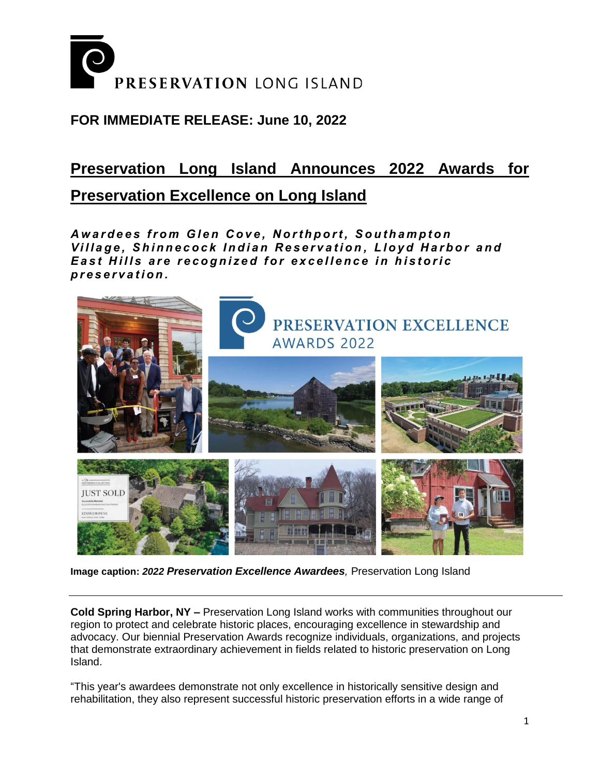

# **FOR IMMEDIATE RELEASE: June 10, 2022**

# **Preservation Long Island Announces 2022 Awards for Preservation Excellence on Long Island**

*A w a r d e e s f r o m G l e n C o v e , N o r t h p o r t , S o u t h a m p t o n Vi l l a g e , S h i n n e c o c k I n d i a n R e s e r v a t i o n , L l o y d H a r b o r a n d East Hills are recognized for excellence in historic p r e s e r v a t i o n .*



**Image caption:** *2022 Preservation Excellence Awardees,* Preservation Long Island

**Cold Spring Harbor, NY –** Preservation Long Island works with communities throughout our region to protect and celebrate historic places, encouraging excellence in stewardship and advocacy. Our biennial Preservation Awards recognize individuals, organizations, and projects that demonstrate extraordinary achievement in fields related to historic preservation on Long Island.

"This year's awardees demonstrate not only excellence in historically sensitive design and rehabilitation, they also represent successful historic preservation efforts in a wide range of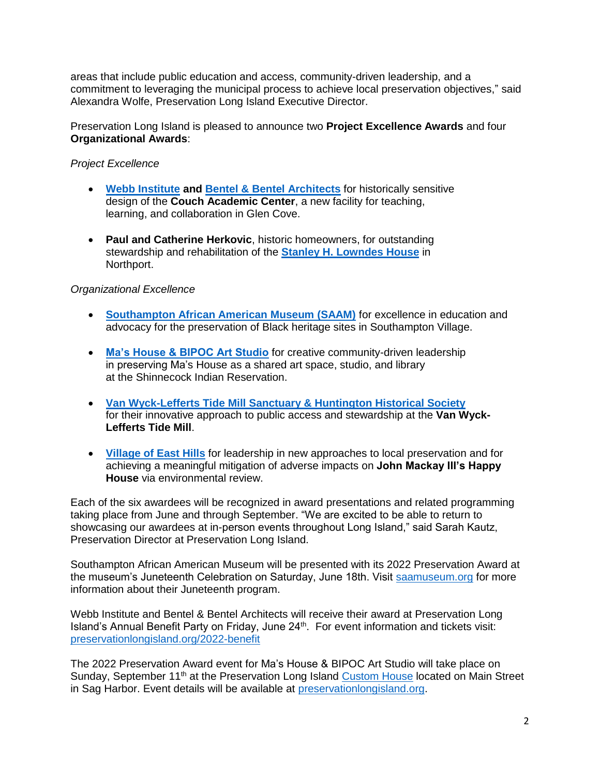areas that include public education and access, community-driven leadership, and a commitment to leveraging the municipal process to achieve local preservation objectives," said Alexandra Wolfe, Preservation Long Island Executive Director.

Preservation Long Island is pleased to announce two **Project Excellence Awards** and four **Organizational Awards**:

## *Project Excellence*

- **[Webb Institute](https://www.webb.edu/couch-academic-center/) and [Bentel & Bentel Architects](https://www.bentelandbentel.com/projects/academic-building-glen-cove/)** for historically sensitive design of the **Couch Academic Center**, a new facility for teaching, learning, and collaboration in Glen Cove.
- **Paul and Catherine Herkovic**, historic homeowners, for outstanding stewardship and rehabilitation of the **[Stanley H. Lowndes](https://www.newsday.com/classifieds/real-estate/colorful-vintage-homes-on-li-preserving-the-past-s32042) House** in Northport.

## *Organizational Excellence*

- **[Southampton African American Museum](https://saamuseum.org/) (SAAM)** for excellence in education and advocacy for the preservation of Black heritage sites in Southampton Village.
- **[Ma's House & BIPOC Art Studio](https://www.mashouse.studio/)** for creative community-driven leadership in preserving Ma's House as a shared art space, studio, and library at the Shinnecock Indian Reservation.
- **[Van Wyck-Lefferts Tide Mill Sanctuary & Huntington Historical Society](https://www.huntingtonhistoricalsociety.org/van-wyck-lefferts-tide-mill.html)** for their innovative approach to public access and stewardship at the **Van Wyck-Lefferts Tide Mill**.
- **[Village of East Hills](https://villageofeasthills.org/)** for leadership in new approaches to local preservation and for achieving a meaningful mitigation of adverse impacts on **John Mackay III's Happy House** via environmental review.

Each of the six awardees will be recognized in award presentations and related programming taking place from June and through September. "We are excited to be able to return to showcasing our awardees at in-person events throughout Long Island," said Sarah Kautz, Preservation Director at Preservation Long Island.

Southampton African American Museum will be presented with its 2022 Preservation Award at the museum's Juneteenth Celebration on Saturday, June 18th. Visit [saamuseum.org](https://saamuseum.org/) for more information about their Juneteenth program.

Webb Institute and Bentel & Bentel Architects will receive their award at Preservation Long Island's Annual Benefit Party on Friday, June  $24<sup>th</sup>$ . For event information and tickets visit: [preservationlongisland.org/2022-benefit](https://preservationlongisland.org/2022-benefit/)

The 2022 Preservation Award event for Ma's House & BIPOC Art Studio will take place on Sunday, September 11<sup>th</sup> at the Preservation Long Island [Custom House](https://preservationlongisland.org/custom-house/) located on Main Street in Sag Harbor. Event details will be available at [preservationlongisland.org.](https://preservationlongisland.org/)